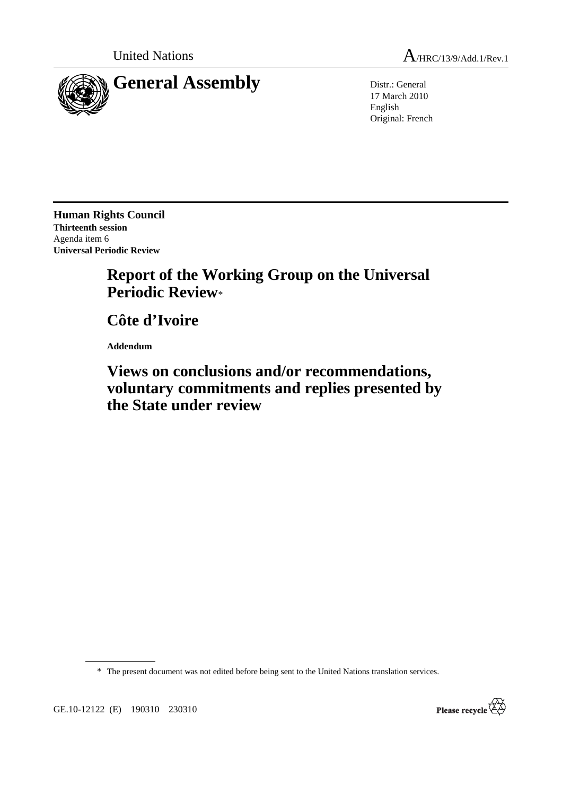

United Nations  $A_{HRC/13/9/Add.1/Rev.1}$ 

17 March 2010 English Original: French

**Human Rights Council Thirteenth session**  Agenda item 6 **Universal Periodic Review** 

## **Report of the Working Group on the Universal Periodic Review**\*

 **Côte d'Ivoire** 

 **Addendum** 

 **Views on conclusions and/or recommendations, voluntary commitments and replies presented by the State under review** 

\* The present document was not edited before being sent to the United Nations translation services.

Please recycle

GE.10-12122 (E) 190310 230310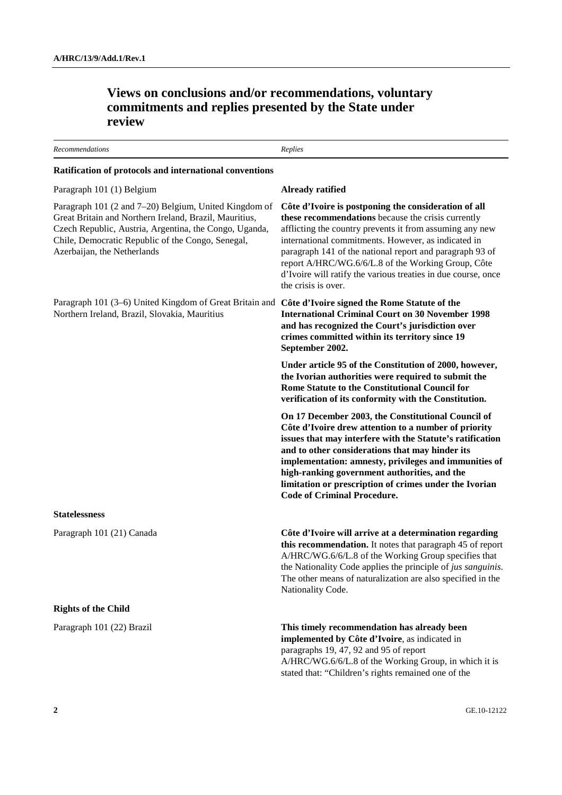| <b>Recommendations</b>                                                                                                                                                                                                                                        | Replies                                                                                                                                                                                                                                                                                                                                                                                                                                 |
|---------------------------------------------------------------------------------------------------------------------------------------------------------------------------------------------------------------------------------------------------------------|-----------------------------------------------------------------------------------------------------------------------------------------------------------------------------------------------------------------------------------------------------------------------------------------------------------------------------------------------------------------------------------------------------------------------------------------|
| Ratification of protocols and international conventions                                                                                                                                                                                                       |                                                                                                                                                                                                                                                                                                                                                                                                                                         |
| Paragraph 101 (1) Belgium                                                                                                                                                                                                                                     | Already ratified                                                                                                                                                                                                                                                                                                                                                                                                                        |
| Paragraph 101 (2 and 7-20) Belgium, United Kingdom of<br>Great Britain and Northern Ireland, Brazil, Mauritius,<br>Czech Republic, Austria, Argentina, the Congo, Uganda,<br>Chile, Democratic Republic of the Congo, Senegal,<br>Azerbaijan, the Netherlands | Côte d'Ivoire is postponing the consideration of all<br>these recommendations because the crisis currently<br>afflicting the country prevents it from assuming any new<br>international commitments. However, as indicated in<br>paragraph 141 of the national report and paragraph 93 of<br>report A/HRC/WG.6/6/L.8 of the Working Group, Côte<br>d'Ivoire will ratify the various treaties in due course, once<br>the crisis is over. |
| Paragraph 101 (3–6) United Kingdom of Great Britain and Côte d'Ivoire signed the Rome Statute of the<br>Northern Ireland, Brazil, Slovakia, Mauritius                                                                                                         | <b>International Criminal Court on 30 November 1998</b><br>and has recognized the Court's jurisdiction over<br>crimes committed within its territory since 19<br>September 2002.                                                                                                                                                                                                                                                        |
|                                                                                                                                                                                                                                                               | Under article 95 of the Constitution of 2000, however,<br>the Ivorian authorities were required to submit the<br>Rome Statute to the Constitutional Council for<br>verification of its conformity with the Constitution.                                                                                                                                                                                                                |
|                                                                                                                                                                                                                                                               | On 17 December 2003, the Constitutional Council of<br>Côte d'Ivoire drew attention to a number of priority<br>issues that may interfere with the Statute's ratification<br>and to other considerations that may hinder its<br>implementation: amnesty, privileges and immunities of<br>high-ranking government authorities, and the<br>limitation or prescription of crimes under the Ivorian<br><b>Code of Criminal Procedure.</b>     |
| <b>Statelessness</b>                                                                                                                                                                                                                                          |                                                                                                                                                                                                                                                                                                                                                                                                                                         |
| Paragraph 101 (21) Canada                                                                                                                                                                                                                                     | Côte d'Ivoire will arrive at a determination regarding<br>this recommendation. It notes that paragraph 45 of report<br>A/HRC/WG.6/6/L.8 of the Working Group specifies that<br>the Nationality Code applies the principle of jus sanguinis.<br>The other means of naturalization are also specified in the<br>Nationality Code.                                                                                                         |
| <b>Rights of the Child</b>                                                                                                                                                                                                                                    |                                                                                                                                                                                                                                                                                                                                                                                                                                         |
| Paragraph 101 (22) Brazil                                                                                                                                                                                                                                     | This timely recommendation has already been<br>implemented by Côte d'Ivoire, as indicated in<br>paragraphs 19, 47, 92 and 95 of report<br>A/HRC/WG.6/6/L.8 of the Working Group, in which it is<br>stated that: "Children's rights remained one of the                                                                                                                                                                                  |

## **Views on conclusions and/or recommendations, voluntary commitments and replies presented by the State under review**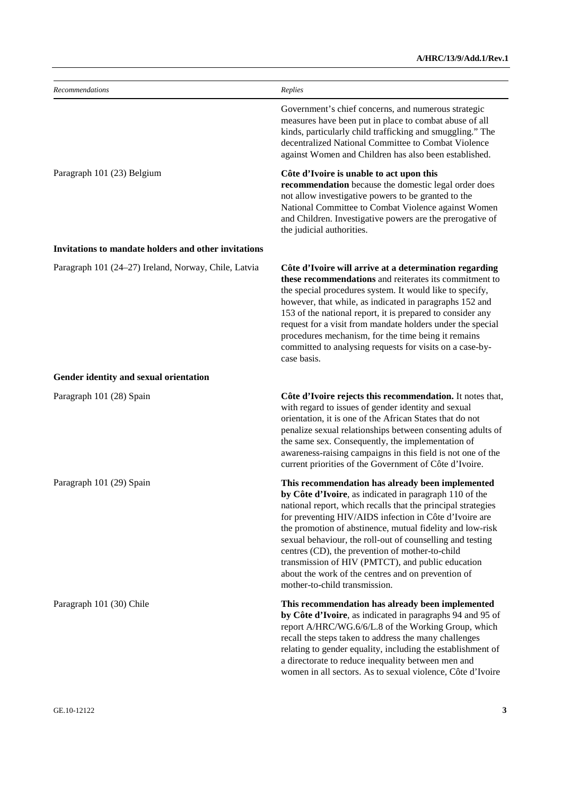| Recommendations                                      | Replies                                                                                                                                                                                                                                                                                                                                                                                                                                                                                                                                                       |
|------------------------------------------------------|---------------------------------------------------------------------------------------------------------------------------------------------------------------------------------------------------------------------------------------------------------------------------------------------------------------------------------------------------------------------------------------------------------------------------------------------------------------------------------------------------------------------------------------------------------------|
|                                                      | Government's chief concerns, and numerous strategic<br>measures have been put in place to combat abuse of all<br>kinds, particularly child trafficking and smuggling." The<br>decentralized National Committee to Combat Violence<br>against Women and Children has also been established.                                                                                                                                                                                                                                                                    |
| Paragraph 101 (23) Belgium                           | Côte d'Ivoire is unable to act upon this<br>recommendation because the domestic legal order does<br>not allow investigative powers to be granted to the<br>National Committee to Combat Violence against Women<br>and Children. Investigative powers are the prerogative of<br>the judicial authorities.                                                                                                                                                                                                                                                      |
| Invitations to mandate holders and other invitations |                                                                                                                                                                                                                                                                                                                                                                                                                                                                                                                                                               |
| Paragraph 101 (24–27) Ireland, Norway, Chile, Latvia | Côte d'Ivoire will arrive at a determination regarding<br>these recommendations and reiterates its commitment to<br>the special procedures system. It would like to specify,<br>however, that while, as indicated in paragraphs 152 and<br>153 of the national report, it is prepared to consider any<br>request for a visit from mandate holders under the special<br>procedures mechanism, for the time being it remains<br>committed to analysing requests for visits on a case-by-<br>case basis.                                                         |
| Gender identity and sexual orientation               |                                                                                                                                                                                                                                                                                                                                                                                                                                                                                                                                                               |
| Paragraph 101 (28) Spain                             | Côte d'Ivoire rejects this recommendation. It notes that,<br>with regard to issues of gender identity and sexual<br>orientation, it is one of the African States that do not<br>penalize sexual relationships between consenting adults of<br>the same sex. Consequently, the implementation of<br>awareness-raising campaigns in this field is not one of the<br>current priorities of the Government of Côte d'Ivoire.                                                                                                                                      |
| Paragraph 101 (29) Spain                             | This recommendation has already been implemented<br>by Côte d'Ivoire, as indicated in paragraph 110 of the<br>national report, which recalls that the principal strategies<br>for preventing HIV/AIDS infection in Côte d'Ivoire are<br>the promotion of abstinence, mutual fidelity and low-risk<br>sexual behaviour, the roll-out of counselling and testing<br>centres (CD), the prevention of mother-to-child<br>transmission of HIV (PMTCT), and public education<br>about the work of the centres and on prevention of<br>mother-to-child transmission. |
| Paragraph 101 (30) Chile                             | This recommendation has already been implemented<br>by Côte d'Ivoire, as indicated in paragraphs 94 and 95 of<br>report A/HRC/WG.6/6/L.8 of the Working Group, which<br>recall the steps taken to address the many challenges<br>relating to gender equality, including the establishment of<br>a directorate to reduce inequality between men and<br>women in all sectors. As to sexual violence, Côte d'Ivoire                                                                                                                                              |